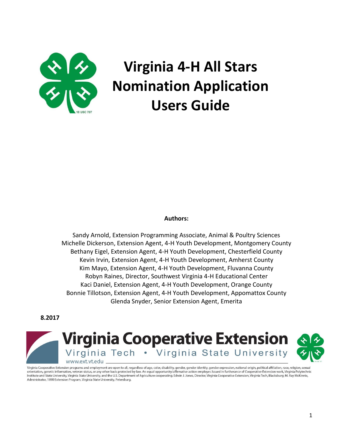

# **Virginia 4-H All Stars Nomination Application Users Guide**

#### **Authors:**

Sandy Arnold, Extension Programming Associate, Animal & Poultry Sciences Michelle Dickerson, Extension Agent, 4-H Youth Development, Montgomery County Bethany Eigel, Extension Agent, 4-H Youth Development, Chesterfield County Kevin Irvin, Extension Agent, 4-H Youth Development, Amherst County Kim Mayo, Extension Agent, 4-H Youth Development, Fluvanna County Robyn Raines, Director, Southwest Virginia 4-H Educational Center Kaci Daniel, Extension Agent, 4-H Youth Development, Orange County Bonnie Tillotson, Extension Agent, 4-H Youth Development, Appomattox County Glenda Snyder, Senior Extension Agent, Emerita

**8.2017**



Virginia Cooperative Extension programs and employment are open to all, regardless of age, color, disability, gender, gender identity, gender expression, national origin, political affiliation, race, religion, sexual orientation, genetic information, veteran status, or any other basis protected by law. An equal opportunity/affirmative action employer. Issued in furtherance of Cooperative Extension work, Virginia Polytechnic Institute and State University, Virginia State University, and the U.S. Department of Agriculture cooperating. Edwin J. Jones, Director, Virginia Cooperative Extension, Virginia Tech, Blacksburg; M. Ray McKinnie, Administrator, 1890 Extension Program, Virginia State University, Petersburg.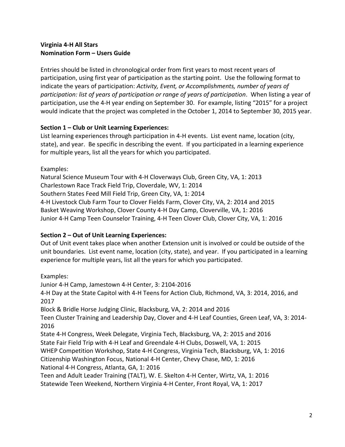# **Virginia 4-H All Stars Nomination Form – Users Guide**

Entries should be listed in chronological order from first years to most recent years of participation, using first year of participation as the starting point. Use the following format to indicate the years of participation: *Activity, Event, or Accomplishments, number of years of participation: list of years of participation or range of years of participation*. When listing a year of participation, use the 4-H year ending on September 30. For example, listing "2015" for a project would indicate that the project was completed in the October 1, 2014 to September 30, 2015 year.

## **Section 1 – Club or Unit Learning Experiences:**

List learning experiences through participation in 4-H events. List event name, location (city, state), and year. Be specific in describing the event. If you participated in a learning experience for multiple years, list all the years for which you participated.

Examples:

Natural Science Museum Tour with 4-H Cloverways Club, Green City, VA, 1: 2013 Charlestown Race Track Field Trip, Cloverdale, WV, 1: 2014 Southern States Feed Mill Field Trip, Green City, VA, 1: 2014 4-H Livestock Club Farm Tour to Clover Fields Farm, Clover City, VA, 2: 2014 and 2015 Basket Weaving Workshop, Clover County 4-H Day Camp, Cloverville, VA, 1: 2016 Junior 4-H Camp Teen Counselor Training, 4-H Teen Clover Club, Clover City, VA, 1: 2016

# **Section 2 – Out of Unit Learning Experiences:**

Out of Unit event takes place when another Extension unit is involved or could be outside of the unit boundaries. List event name, location (city, state), and year. If you participated in a learning experience for multiple years, list all the years for which you participated.

Examples:

Junior 4-H Camp, Jamestown 4-H Center, 3: 2104-2016

4-H Day at the State Capitol with 4-H Teens for Action Club, Richmond, VA, 3: 2014, 2016, and 2017

Block & Bridle Horse Judging Clinic, Blacksburg, VA, 2: 2014 and 2016

Teen Cluster Training and Leadership Day, Clover and 4-H Leaf Counties, Green Leaf, VA, 3: 2014- 2016

State 4-H Congress, Week Delegate, Virginia Tech, Blacksburg, VA, 2: 2015 and 2016

State Fair Field Trip with 4-H Leaf and Greendale 4-H Clubs, Doswell, VA, 1: 2015

WHEP Competition Workshop, State 4-H Congress, Virginia Tech, Blacksburg, VA, 1: 2016

Citizenship Washington Focus, National 4-H Center, Chevy Chase, MD, 1: 2016

National 4-H Congress, Atlanta, GA, 1: 2016

Teen and Adult Leader Training (TALT), W. E. Skelton 4-H Center, Wirtz, VA, 1: 2016

Statewide Teen Weekend, Northern Virginia 4-H Center, Front Royal, VA, 1: 2017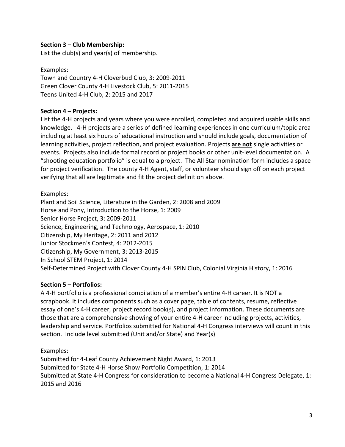## **Section 3 – Club Membership:**

List the club(s) and year(s) of membership.

Examples: Town and Country 4-H Cloverbud Club, 3: 2009-2011 Green Clover County 4-H Livestock Club, 5: 2011-2015 Teens United 4-H Club, 2: 2015 and 2017

#### **Section 4 – Projects:**

List the 4-H projects and years where you were enrolled, completed and acquired usable skills and knowledge. 4-H projects are a series of defined learning experiences in one curriculum/topic area including at least six hours of educational instruction and should include goals, documentation of learning activities, project reflection, and project evaluation. Projects **are not** single activities or events. Projects also include formal record or project books or other unit-level documentation. A "shooting education portfolio" is equal to a project. The All Star nomination form includes a space for project verification. The county 4-H Agent, staff, or volunteer should sign off on each project verifying that all are legitimate and fit the project definition above.

#### Examples:

Plant and Soil Science, Literature in the Garden, 2: 2008 and 2009 Horse and Pony, Introduction to the Horse, 1: 2009 Senior Horse Project, 3: 2009-2011 Science, Engineering, and Technology, Aerospace, 1: 2010 Citizenship, My Heritage, 2: 2011 and 2012 Junior Stockmen's Contest, 4: 2012-2015 Citizenship, My Government, 3: 2013-2015 In School STEM Project, 1: 2014 Self-Determined Project with Clover County 4-H SPIN Club, Colonial Virginia History, 1: 2016

#### **Section 5 – Portfolios:**

A 4-H portfolio is a professional compilation of a member's entire 4-H career. It is NOT a scrapbook. It includes components such as a cover page, table of contents, resume, reflective essay of one's 4-H career, project record book(s), and project information. These documents are those that are a comprehensive showing of your entire 4-H career including projects, activities, leadership and service. Portfolios submitted for National 4-H Congress interviews will count in this section. Include level submitted (Unit and/or State) and Year(s)

Examples:

Submitted for 4-Leaf County Achievement Night Award, 1: 2013 Submitted for State 4-H Horse Show Portfolio Competition, 1: 2014 Submitted at State 4-H Congress for consideration to become a National 4-H Congress Delegate, 1: 2015 and 2016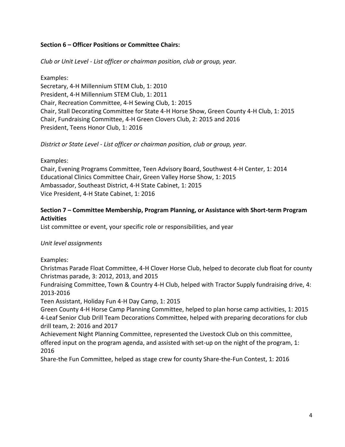## **Section 6 – Officer Positions or Committee Chairs:**

*Club or Unit Level - List officer or chairman position, club or group, year.*

Examples:

Secretary, 4-H Millennium STEM Club, 1: 2010 President, 4-H Millennium STEM Club, 1: 2011 Chair, Recreation Committee, 4-H Sewing Club, 1: 2015 Chair, Stall Decorating Committee for State 4-H Horse Show, Green County 4-H Club, 1: 2015 Chair, Fundraising Committee, 4-H Green Clovers Club, 2: 2015 and 2016 President, Teens Honor Club, 1: 2016

*District or State Level - List officer or chairman position, club or group, year.* 

Examples:

Chair, Evening Programs Committee, Teen Advisory Board, Southwest 4-H Center, 1: 2014 Educational Clinics Committee Chair, Green Valley Horse Show, 1: 2015 Ambassador, Southeast District, 4-H State Cabinet, 1: 2015 Vice President, 4-H State Cabinet, 1: 2016

## **Section 7 – Committee Membership, Program Planning, or Assistance with Short-term Program Activities**

List committee or event, your specific role or responsibilities, and year

#### *Unit level assignments*

Examples:

Christmas Parade Float Committee, 4-H Clover Horse Club, helped to decorate club float for county Christmas parade, 3: 2012, 2013, and 2015

Fundraising Committee, Town & Country 4-H Club, helped with Tractor Supply fundraising drive, 4: 2013-2016

Teen Assistant, Holiday Fun 4-H Day Camp, 1: 2015

Green County 4-H Horse Camp Planning Committee, helped to plan horse camp activities, 1: 2015 4-Leaf Senior Club Drill Team Decorations Committee, helped with preparing decorations for club drill team, 2: 2016 and 2017

Achievement Night Planning Committee, represented the Livestock Club on this committee, offered input on the program agenda, and assisted with set-up on the night of the program, 1: 2016

Share-the Fun Committee, helped as stage crew for county Share-the-Fun Contest, 1: 2016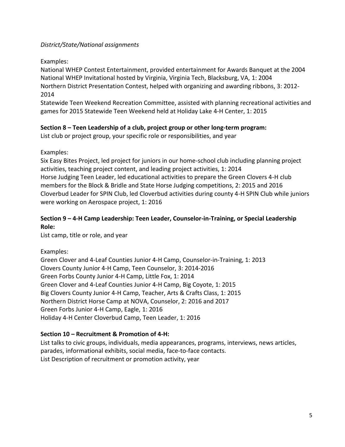# *District/State/National assignments*

# Examples:

National WHEP Contest Entertainment, provided entertainment for Awards Banquet at the 2004 National WHEP Invitational hosted by Virginia, Virginia Tech, Blacksburg, VA, 1: 2004 Northern District Presentation Contest, helped with organizing and awarding ribbons, 3: 2012- 2014

Statewide Teen Weekend Recreation Committee, assisted with planning recreational activities and games for 2015 Statewide Teen Weekend held at Holiday Lake 4-H Center, 1: 2015

# **Section 8 – Teen Leadership of a club, project group or other long-term program:**

List club or project group, your specific role or responsibilities, and year

## Examples:

Six Easy Bites Project, led project for juniors in our home-school club including planning project activities, teaching project content, and leading project activities, 1: 2014 Horse Judging Teen Leader, led educational activities to prepare the Green Clovers 4-H club members for the Block & Bridle and State Horse Judging competitions, 2: 2015 and 2016 Cloverbud Leader for SPIN Club, led Cloverbud activities during county 4-H SPIN Club while juniors were working on Aerospace project, 1: 2016

# **Section 9 – 4-H Camp Leadership: Teen Leader, Counselor-in-Training, or Special Leadership Role:**

List camp, title or role, and year

# Examples:

Green Clover and 4-Leaf Counties Junior 4-H Camp, Counselor-in-Training, 1: 2013 Clovers County Junior 4-H Camp, Teen Counselor, 3: 2014-2016 Green Forbs County Junior 4-H Camp, Little Fox, 1: 2014 Green Clover and 4-Leaf Counties Junior 4-H Camp, Big Coyote, 1: 2015 Big Clovers County Junior 4-H Camp, Teacher, Arts & Crafts Class, 1: 2015 Northern District Horse Camp at NOVA, Counselor, 2: 2016 and 2017 Green Forbs Junior 4-H Camp, Eagle, 1: 2016 Holiday 4-H Center Cloverbud Camp, Teen Leader, 1: 2016

# **Section 10 – Recruitment & Promotion of 4-H:**

List talks to civic groups, individuals, media appearances, programs, interviews, news articles, parades, informational exhibits, social media, face-to-face contacts. List Description of recruitment or promotion activity, year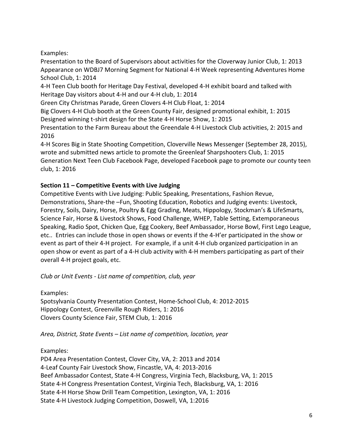Examples:

Presentation to the Board of Supervisors about activities for the Cloverway Junior Club, 1: 2013 Appearance on WDBJ7 Morning Segment for National 4-H Week representing Adventures Home School Club, 1: 2014

4-H Teen Club booth for Heritage Day Festival, developed 4-H exhibit board and talked with Heritage Day visitors about 4-H and our 4-H club, 1: 2014

Green City Christmas Parade, Green Clovers 4-H Club Float, 1: 2014

Big Clovers 4-H Club booth at the Green County Fair, designed promotional exhibit, 1: 2015 Designed winning t-shirt design for the State 4-H Horse Show, 1: 2015

Presentation to the Farm Bureau about the Greendale 4-H Livestock Club activities, 2: 2015 and 2016

4-H Scores Big in State Shooting Competition, Cloverville News Messenger (September 28, 2015), wrote and submitted news article to promote the Greenleaf Sharpshooters Club, 1: 2015 Generation Next Teen Club Facebook Page, developed Facebook page to promote our county teen club, 1: 2016

# **Section 11 – Competitive Events with Live Judging**

Competitive Events with Live Judging: Public Speaking, Presentations, Fashion Revue, Demonstrations, Share-the –Fun, Shooting Education, Robotics and Judging events: Livestock, Forestry, Soils, Dairy, Horse, Poultry & Egg Grading, Meats, Hippology, Stockman's & LifeSmarts, Science Fair, Horse & Livestock Shows, Food Challenge, WHEP, Table Setting, Extemporaneous Speaking, Radio Spot, Chicken Que, Egg Cookery, Beef Ambassador, Horse Bowl, First Lego League, etc.. Entries can include those in open shows or events if the 4-H'er participated in the show or event as part of their 4-H project. For example, if a unit 4-H club organized participation in an open show or event as part of a 4-H club activity with 4-H members participating as part of their overall 4-H project goals, etc.

*Club or Unit Events - List name of competition, club, year*

Examples:

Spotsylvania County Presentation Contest, Home-School Club, 4: 2012-2015 Hippology Contest, Greenville Rough Riders, 1: 2016 Clovers County Science Fair, STEM Club, 1: 2016

*Area, District, State Events – List name of competition, location, year*

Examples:

PD4 Area Presentation Contest, Clover City, VA, 2: 2013 and 2014 4-Leaf County Fair Livestock Show, Fincastle, VA, 4: 2013-2016 Beef Ambassador Contest, State 4-H Congress, Virginia Tech, Blacksburg, VA, 1: 2015 State 4-H Congress Presentation Contest, Virginia Tech, Blacksburg, VA, 1: 2016 State 4-H Horse Show Drill Team Competition, Lexington, VA, 1: 2016 State 4-H Livestock Judging Competition, Doswell, VA, 1:2016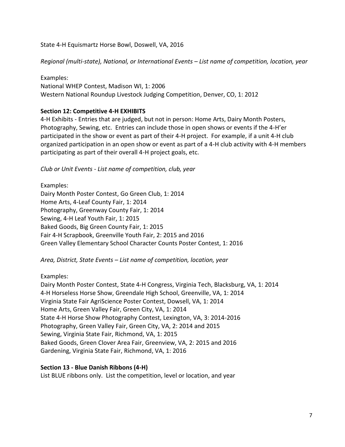State 4-H Equismartz Horse Bowl, Doswell, VA, 2016

*Regional (multi-state), National, or International Events – List name of competition, location, year*

Examples: National WHEP Contest, Madison WI, 1: 2006 Western National Roundup Livestock Judging Competition, Denver, CO, 1: 2012

## **Section 12: Competitive 4-H EXHIBITS**

4-H Exhibits - Entries that are judged, but not in person: Home Arts, Dairy Month Posters, Photography, Sewing, etc. Entries can include those in open shows or events if the 4-H'er participated in the show or event as part of their 4-H project. For example, if a unit 4-H club organized participation in an open show or event as part of a 4-H club activity with 4-H members participating as part of their overall 4-H project goals, etc.

*Club or Unit Events - List name of competition, club, year*

Examples: Dairy Month Poster Contest, Go Green Club, 1: 2014 Home Arts, 4-Leaf County Fair, 1: 2014 Photography, Greenway County Fair, 1: 2014 Sewing, 4-H Leaf Youth Fair, 1: 2015 Baked Goods, Big Green County Fair, 1: 2015 Fair 4-H Scrapbook, Greenville Youth Fair, 2: 2015 and 2016 Green Valley Elementary School Character Counts Poster Contest, 1: 2016

*Area, District, State Events – List name of competition, location, year*

Examples:

Dairy Month Poster Contest, State 4-H Congress, Virginia Tech, Blacksburg, VA, 1: 2014 4-H Horseless Horse Show, Greendale High School, Greenville, VA, 1: 2014 Virginia State Fair AgriScience Poster Contest, Dowsell, VA, 1: 2014 Home Arts, Green Valley Fair, Green City, VA, 1: 2014 State 4-H Horse Show Photography Contest, Lexington, VA, 3: 2014-2016 Photography, Green Valley Fair, Green City, VA, 2: 2014 and 2015 Sewing, Virginia State Fair, Richmond, VA, 1: 2015 Baked Goods, Green Clover Area Fair, Greenview, VA, 2: 2015 and 2016 Gardening, Virginia State Fair, Richmond, VA, 1: 2016

## **Section 13 - Blue Danish Ribbons (4-H)**

List BLUE ribbons only. List the competition, level or location, and year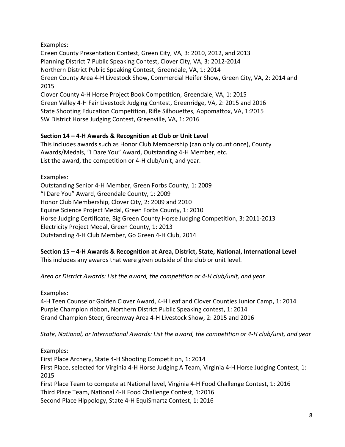# Examples:

Green County Presentation Contest, Green City, VA, 3: 2010, 2012, and 2013 Planning District 7 Public Speaking Contest, Clover City, VA, 3: 2012-2014 Northern District Public Speaking Contest, Greendale, VA, 1: 2014 Green County Area 4-H Livestock Show, Commercial Heifer Show, Green City, VA, 2: 2014 and 2015

Clover County 4-H Horse Project Book Competition, Greendale, VA, 1: 2015 Green Valley 4-H Fair Livestock Judging Contest, Greenridge, VA, 2: 2015 and 2016 State Shooting Education Competition, Rifle Silhouettes, Appomattox, VA, 1:2015 SW District Horse Judging Contest, Greenville, VA, 1: 2016

# **Section 14 – 4-H Awards & Recognition at Club or Unit Level**

This includes awards such as Honor Club Membership (can only count once), County Awards/Medals, "I Dare You" Award, Outstanding 4-H Member, etc. List the award, the competition or 4-H club/unit, and year.

Examples:

Outstanding Senior 4-H Member, Green Forbs County, 1: 2009 "I Dare You" Award, Greendale County, 1: 2009 Honor Club Membership, Clover City, 2: 2009 and 2010 Equine Science Project Medal, Green Forbs County, 1: 2010 Horse Judging Certificate, Big Green County Horse Judging Competition, 3: 2011-2013 Electricity Project Medal, Green County, 1: 2013 Outstanding 4-H Club Member, Go Green 4-H Club, 2014

**Section 15 – 4-H Awards & Recognition at Area, District, State, National, International Level**  This includes any awards that were given outside of the club or unit level.

*Area or District Awards: List the award, the competition or 4-H club/unit, and year*

Examples:

4-H Teen Counselor Golden Clover Award, 4-H Leaf and Clover Counties Junior Camp, 1: 2014 Purple Champion ribbon, Northern District Public Speaking contest, 1: 2014 Grand Champion Steer, Greenway Area 4-H Livestock Show, 2: 2015 and 2016

*State, National, or International Awards: List the award, the competition or 4-H club/unit, and year*

Examples:

First Place Archery, State 4-H Shooting Competition, 1: 2014 First Place, selected for Virginia 4-H Horse Judging A Team, Virginia 4-H Horse Judging Contest, 1: 2015 First Place Team to compete at National level, Virginia 4-H Food Challenge Contest, 1: 2016 Third Place Team, National 4-H Food Challenge Contest, 1:2016 Second Place Hippology, State 4-H EquiSmartz Contest, 1: 2016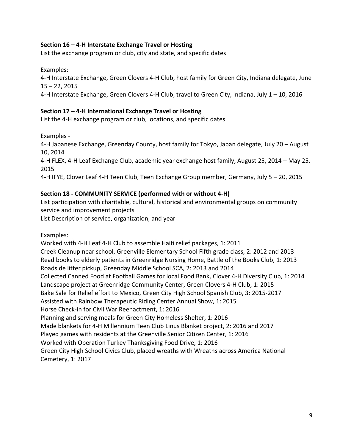## **Section 16 – 4-H Interstate Exchange Travel or Hosting**

List the exchange program or club, city and state, and specific dates

Examples: 4-H Interstate Exchange, Green Clovers 4-H Club, host family for Green City, Indiana delegate, June 15 – 22, 2015 4-H Interstate Exchange, Green Clovers 4-H Club, travel to Green City, Indiana, July 1 – 10, 2016

#### **Section 17 – 4-H International Exchange Travel or Hosting**

List the 4-H exchange program or club, locations, and specific dates

Examples -

4-H Japanese Exchange, Greenday County, host family for Tokyo, Japan delegate, July 20 – August 10, 2014

4-H FLEX, 4-H Leaf Exchange Club, academic year exchange host family, August 25, 2014 – May 25, 2015

4-H IFYE, Clover Leaf 4-H Teen Club, Teen Exchange Group member, Germany, July 5 – 20, 2015

#### **Section 18 - COMMUNITY SERVICE (performed with or without 4-H)**

List participation with charitable, cultural, historical and environmental groups on community service and improvement projects

List Description of service, organization, and year

Examples:

Worked with 4-H Leaf 4-H Club to assemble Haiti relief packages, 1: 2011 Creek Cleanup near school, Greenville Elementary School Fifth grade class, 2: 2012 and 2013 Read books to elderly patients in Greenridge Nursing Home, Battle of the Books Club, 1: 2013 Roadside litter pickup, Greenday Middle School SCA, 2: 2013 and 2014 Collected Canned Food at Football Games for local Food Bank, Clover 4-H Diversity Club, 1: 2014 Landscape project at Greenridge Community Center, Green Clovers 4-H Club, 1: 2015 Bake Sale for Relief effort to Mexico, Green City High School Spanish Club, 3: 2015-2017 Assisted with Rainbow Therapeutic Riding Center Annual Show, 1: 2015 Horse Check-in for Civil War Reenactment, 1: 2016 Planning and serving meals for Green City Homeless Shelter, 1: 2016 Made blankets for 4-H Millennium Teen Club Linus Blanket project, 2: 2016 and 2017 Played games with residents at the Greenville Senior Citizen Center, 1: 2016 Worked with Operation Turkey Thanksgiving Food Drive, 1: 2016 Green City High School Civics Club, placed wreaths with Wreaths across America National Cemetery, 1: 2017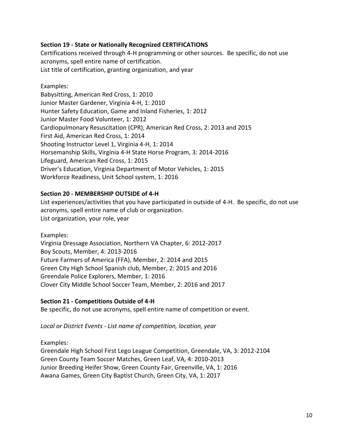## **Section 19 - State or Nationally Recognized CERTIFICATIONS**

Certifications received through 4-H programming or other sources. Be specific, do not use acronyms, spell entire name of certification. List title of certification, granting organization, and year

Examples: Babysitting, American Red Cross, 1: 2010 Junior Master Gardener, Virginia 4-H, 1: 2010 Hunter Safety Education, Game and Inland Fisheries, 1: 2012 Junior Master Food Volunteer, 1: 2012 Cardiopulmonary Resuscitation (CPR), American Red Cross, 2: 2013 and 2015 First Aid, American Red Cross, 1: 2014 Shooting Instructor Level 1, Virginia 4-H, 1: 2014 Horsemanship Skills, Virginia 4-H State Horse Program, 3: 2014-2016 Lifeguard, American Red Cross, 1: 2015 Driver's Education, Virginia Department of Motor Vehicles, 1: 2015 Workforce Readiness, Unit School system, 1: 2016

## **Section 20 - MEMBERSHIP OUTSIDE of 4-H**

List experiences/activities that you have participated in outside of 4-H. Be specific, do not use acronyms, spell entire name of club or organization. List organization, your role, year

Examples: Virginia Dressage Association, Northern VA Chapter, 6: 2012-2017 Boy Scouts, Member, 4: 2013-2016 Future Farmers of America (FFA), Member, 2: 2014 and 2015 Green City High School Spanish club, Member, 2: 2015 and 2016 Greendale Police Explorers, Member, 1: 2016 Clover City Middle School Soccer Team, Member, 2: 2016 and 2017

#### **Section 21 - Competitions Outside of 4-H**

Be specific, do not use acronyms, spell entire name of competition or event.

*Local or District Events - List name of competition, location, year*

Examples:

Greendale High School First Lego League Competition, Greendale, VA, 3: 2012-2104 Green County Team Soccer Matches, Green Leaf, VA, 4: 2010-2013 Junior Breeding Heifer Show, Green County Fair, Greenville, VA, 1: 2016 Awana Games, Green City Baptist Church, Green City, VA, 1: 2017